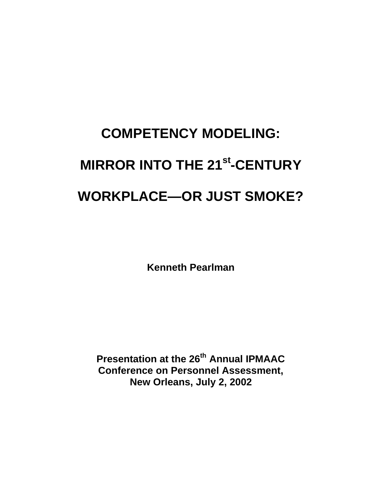# **COMPETENCY MODELING: MIRROR INTO THE 21st -CENTURY WORKPLACE—OR JUST SMOKE?**

**Kenneth Pearlman**

**Presentation at the 26th Annual IPMAAC Conference on Personnel Assessment, New Orleans, July 2, 2002**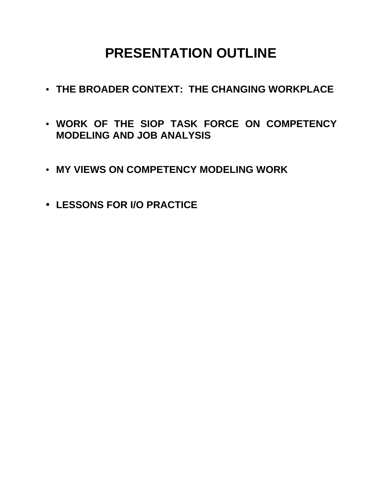## **PRESENTATION OUTLINE**

- **THE BROADER CONTEXT: THE CHANGING WORKPLACE**
- **WORK OF THE SIOP TASK FORCE ON COMPETENCY MODELING AND JOB ANALYSIS**
- **MY VIEWS ON COMPETENCY MODELING WORK**
- **LESSONS FOR I/O PRACTICE**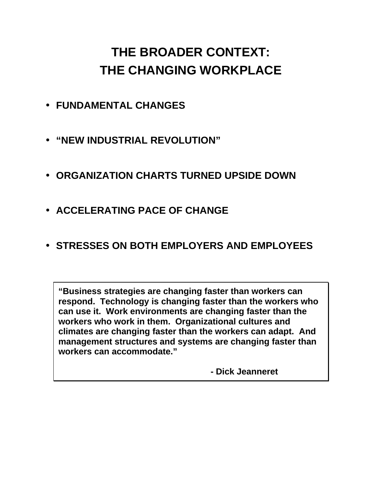## **THE BROADER CONTEXT: THE CHANGING WORKPLACE**

- **FUNDAMENTAL CHANGES**
- **"NEW INDUSTRIAL REVOLUTION"**
- **ORGANIZATION CHARTS TURNED UPSIDE DOWN**
- **ACCELERATING PACE OF CHANGE**
- **STRESSES ON BOTH EMPLOYERS AND EMPLOYEES**

**"Business strategies are changing faster than workers can respond. Technology is changing faster than the workers who can use it. Work environments are changing faster than the workers who work in them. Organizational cultures and climates are changing faster than the workers can adapt. And management structures and systems are changing faster than workers can accommodate."** 

 **- Dick Jeanneret**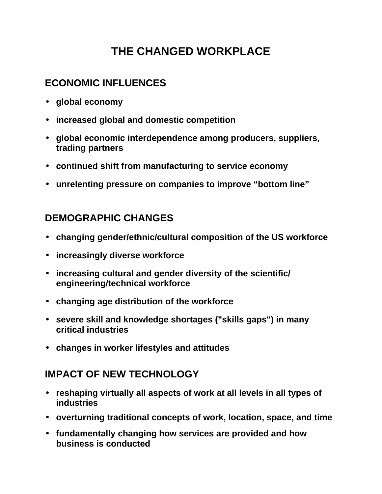## **THE CHANGED WORKPLACE**

### **ECONOMIC INFLUENCES**

- **global economy**
- **increased global and domestic competition**
- **global economic interdependence among producers, suppliers, trading partners**
- **continued shift from manufacturing to service economy**
- **unrelenting pressure on companies to improve "bottom line"**

### **DEMOGRAPHIC CHANGES**

- **changing gender/ethnic/cultural composition of the US workforce**
- **increasingly diverse workforce**
- **increasing cultural and gender diversity of the scientific/ engineering/technical workforce**
- **changing age distribution of the workforce**
- **severe skill and knowledge shortages ("skills gaps") in many critical industries**
- **changes in worker lifestyles and attitudes**

#### **IMPACT OF NEW TECHNOLOGY**

- **reshaping virtually all aspects of work at all levels in all types of industries**
- **overturning traditional concepts of work, location, space, and time**
- **fundamentally changing how services are provided and how business is conducted**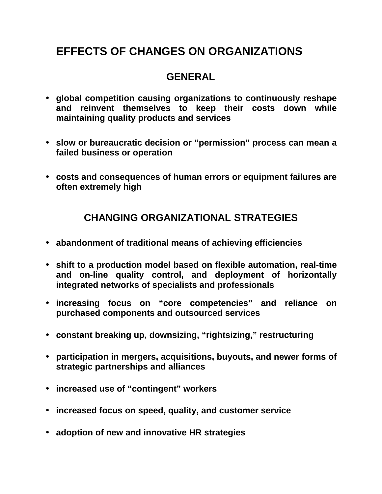#### **GENERAL**

- **global competition causing organizations to continuously reshape and reinvent themselves to keep their costs down while maintaining quality products and services**
- **slow or bureaucratic decision or "permission" process can mean a failed business or operation**
- **costs and consequences of human errors or equipment failures are often extremely high**

#### **CHANGING ORGANIZATIONAL STRATEGIES**

- **abandonment of traditional means of achieving efficiencies**
- **shift to a production model based on flexible automation, real-time and on-line quality control, and deployment of horizontally integrated networks of specialists and professionals**
- **increasing focus on "core competencies" and reliance on purchased components and outsourced services**
- **constant breaking up, downsizing, "rightsizing," restructuring**
- **participation in mergers, acquisitions, buyouts, and newer forms of strategic partnerships and alliances**
- **increased use of "contingent" workers**
- **increased focus on speed, quality, and customer service**
- **adoption of new and innovative HR strategies**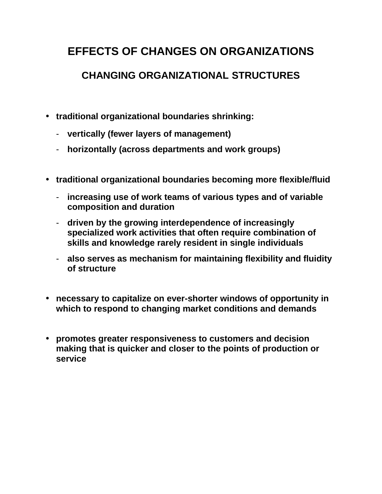### **CHANGING ORGANIZATIONAL STRUCTURES**

- **traditional organizational boundaries shrinking:**
	- **vertically (fewer layers of management)**
	- **horizontally (across departments and work groups)**
- **traditional organizational boundaries becoming more flexible/fluid**
	- **increasing use of work teams of various types and of variable composition and duration**
	- **driven by the growing interdependence of increasingly specialized work activities that often require combination of skills and knowledge rarely resident in single individuals**
	- **also serves as mechanism for maintaining flexibility and fluidity of structure**
- **necessary to capitalize on ever-shorter windows of opportunity in which to respond to changing market conditions and demands**
- **promotes greater responsiveness to customers and decision making that is quicker and closer to the points of production or service**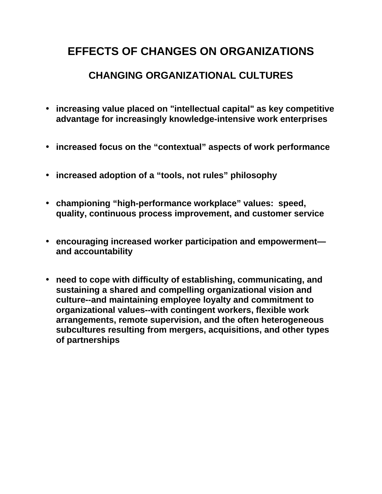#### **CHANGING ORGANIZATIONAL CULTURES**

- **increasing value placed on "intellectual capital" as key competitive advantage for increasingly knowledge-intensive work enterprises**
- **increased focus on the "contextual" aspects of work performance**
- **increased adoption of a "tools, not rules" philosophy**
- **championing "high-performance workplace" values: speed, quality, continuous process improvement, and customer service**
- **encouraging increased worker participation and empowerment and accountability**
- **need to cope with difficulty of establishing, communicating, and sustaining a shared and compelling organizational vision and culture--and maintaining employee loyalty and commitment to organizational values--with contingent workers, flexible work arrangements, remote supervision, and the often heterogeneous subcultures resulting from mergers, acquisitions, and other types of partnerships**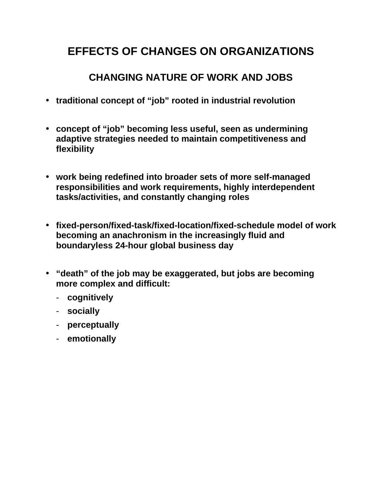### **CHANGING NATURE OF WORK AND JOBS**

- **traditional concept of "job" rooted in industrial revolution**
- **concept of "job" becoming less useful, seen as undermining adaptive strategies needed to maintain competitiveness and flexibility**
- **work being redefined into broader sets of more self-managed responsibilities and work requirements, highly interdependent tasks/activities, and constantly changing roles**
- **fixed-person/fixed-task/fixed-location/fixed-schedule model of work becoming an anachronism in the increasingly fluid and boundaryless 24-hour global business day**
- **"death" of the job may be exaggerated, but jobs are becoming more complex and difficult:**
	- **cognitively**
	- **socially**
	- **perceptually**
	- **emotionally**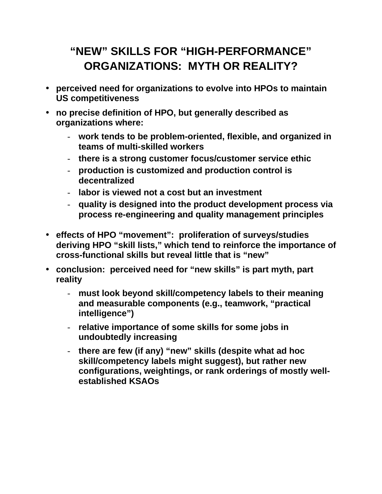## **"NEW" SKILLS FOR "HIGH-PERFORMANCE" ORGANIZATIONS: MYTH OR REALITY?**

- **perceived need for organizations to evolve into HPOs to maintain US competitiveness**
- **no precise definition of HPO, but generally described as organizations where:**
	- **work tends to be problem-oriented, flexible, and organized in teams of multi-skilled workers**
	- **there is a strong customer focus/customer service ethic**
	- **production is customized and production control is decentralized**
	- **labor is viewed not a cost but an investment**
	- **quality is designed into the product development process via process re-engineering and quality management principles**
- **effects of HPO "movement": proliferation of surveys/studies deriving HPO "skill lists," which tend to reinforce the importance of cross-functional skills but reveal little that is "new"**
- **conclusion: perceived need for "new skills" is part myth, part reality**
	- **must look beyond skill/competency labels to their meaning and measurable components (e.g., teamwork, "practical intelligence")**
	- **relative importance of some skills for some jobs in undoubtedly increasing**
	- **there are few (if any) "new" skills (despite what ad hoc skill/competency labels might suggest), but rather new configurations, weightings, or rank orderings of mostly wellestablished KSAOs**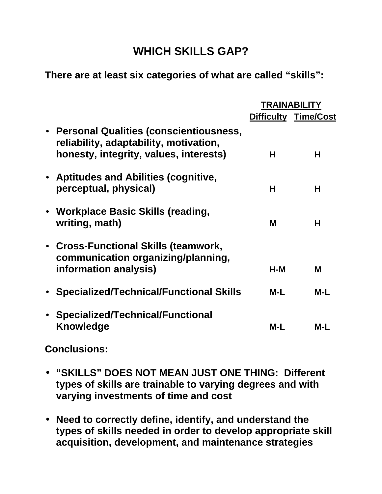### **WHICH SKILLS GAP?**

**There are at least six categories of what are called "skills":**

|                                                                                                                              |       | <b>TRAINABILITY</b>         |  |
|------------------------------------------------------------------------------------------------------------------------------|-------|-----------------------------|--|
|                                                                                                                              |       | <b>Difficulty Time/Cost</b> |  |
| • Personal Qualities (conscientiousness,<br>reliability, adaptability, motivation,<br>honesty, integrity, values, interests) | Н     | Н                           |  |
| • Aptitudes and Abilities (cognitive,<br>perceptual, physical)                                                               | н     | Н                           |  |
| • Workplace Basic Skills (reading,<br>writing, math)                                                                         | M     | Н                           |  |
| • Cross-Functional Skills (teamwork,<br>communication organizing/planning,<br>information analysis)                          | $H-M$ | M                           |  |
| • Specialized/Technical/Functional Skills                                                                                    | $M-L$ | $M-L$                       |  |
| • Specialized/Technical/Functional<br><b>Knowledge</b>                                                                       | $M-L$ | $M-L$                       |  |

**Conclusions:** 

- **"SKILLS" DOES NOT MEAN JUST ONE THING: Different types of skills are trainable to varying degrees and with varying investments of time and cost**
- **Need to correctly define, identify, and understand the types of skills needed in order to develop appropriate skill acquisition, development, and maintenance strategies**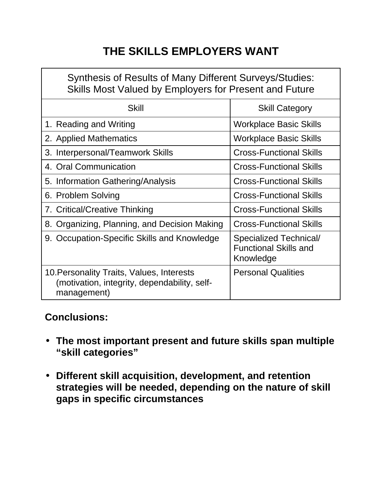## **THE SKILLS EMPLOYERS WANT**

| <b>Synthesis of Results of Many Different Surveys/Studies:</b><br>Skills Most Valued by Employers for Present and Future |                                                                     |  |  |  |  |  |
|--------------------------------------------------------------------------------------------------------------------------|---------------------------------------------------------------------|--|--|--|--|--|
| <b>Skill</b>                                                                                                             | <b>Skill Category</b>                                               |  |  |  |  |  |
| 1. Reading and Writing                                                                                                   | <b>Workplace Basic Skills</b>                                       |  |  |  |  |  |
| 2. Applied Mathematics                                                                                                   | <b>Workplace Basic Skills</b>                                       |  |  |  |  |  |
| 3. Interpersonal/Teamwork Skills                                                                                         | <b>Cross-Functional Skills</b>                                      |  |  |  |  |  |
| 4. Oral Communication                                                                                                    | <b>Cross-Functional Skills</b>                                      |  |  |  |  |  |
| 5. Information Gathering/Analysis                                                                                        | <b>Cross-Functional Skills</b>                                      |  |  |  |  |  |
| 6. Problem Solving                                                                                                       | <b>Cross-Functional Skills</b>                                      |  |  |  |  |  |
| 7. Critical/Creative Thinking                                                                                            | <b>Cross-Functional Skills</b>                                      |  |  |  |  |  |
| 8. Organizing, Planning, and Decision Making                                                                             | <b>Cross-Functional Skills</b>                                      |  |  |  |  |  |
| 9. Occupation-Specific Skills and Knowledge                                                                              | Specialized Technical/<br><b>Functional Skills and</b><br>Knowledge |  |  |  |  |  |
| 10. Personality Traits, Values, Interests<br>(motivation, integrity, dependability, self-<br>management)                 | <b>Personal Qualities</b>                                           |  |  |  |  |  |

### **Conclusions:**

- **The most important present and future skills span multiple "skill categories"**
- **Different skill acquisition, development, and retention strategies will be needed, depending on the nature of skill gaps in specific circumstances**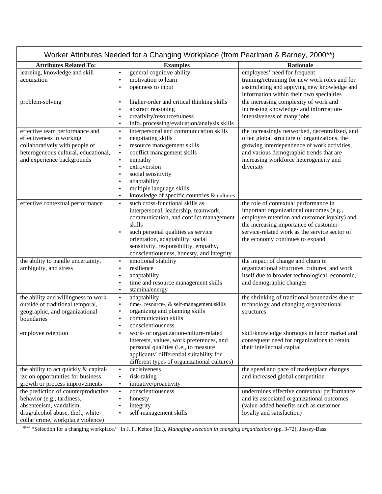| Worker Attributes Needed for a Changing Workplace (from Pearlman & Barney, 2000**)                                                                                     |                                                                                                                                                                                                                                                                                                                                                                                       |                                                                                                                                                                                                                                                                 |  |  |  |  |
|------------------------------------------------------------------------------------------------------------------------------------------------------------------------|---------------------------------------------------------------------------------------------------------------------------------------------------------------------------------------------------------------------------------------------------------------------------------------------------------------------------------------------------------------------------------------|-----------------------------------------------------------------------------------------------------------------------------------------------------------------------------------------------------------------------------------------------------------------|--|--|--|--|
| <b>Attributes Related To:</b>                                                                                                                                          | <b>Examples</b>                                                                                                                                                                                                                                                                                                                                                                       | <b>Rationale</b>                                                                                                                                                                                                                                                |  |  |  |  |
| learning, knowledge and skill<br>acquisition                                                                                                                           | general cognitive ability<br>$\bullet$<br>motivation to learn<br>$\bullet$<br>openness to input<br>٠                                                                                                                                                                                                                                                                                  | employees' need for frequent<br>training/retraining for new work roles and for<br>assimilating and applying new knowledge and<br>information within their own specialties                                                                                       |  |  |  |  |
| problem-solving                                                                                                                                                        | higher-order and critical thinking skills<br>$\bullet$<br>abstract reasoning<br>٠<br>creativity/resourcefulness<br>٠<br>info. processing/evaluation/analysis skills<br>$\bullet$                                                                                                                                                                                                      | the increasing complexity of work and<br>increasing knowledge- and information-<br>intensiveness of many jobs                                                                                                                                                   |  |  |  |  |
| effective team performance and<br>effectiveness in working<br>collaboratively with people of<br>heterogeneous cultural, educational,<br>and experience backgrounds     | interpersonal and communication skills<br>$\bullet$<br>negotiating skills<br>$\bullet$<br>resource management skills<br>$\bullet$<br>conflict management skills<br>$\bullet$<br>empathy<br>$\bullet$<br>extroversion<br>$\bullet$<br>social sensitivity<br>$\bullet$<br>adaptability<br>٠<br>multiple language skills<br>٠<br>knowledge of specific countries & cultures<br>$\bullet$ | the increasingly networked, decentralized, and<br>often global structure of organizations, the<br>growing interdependence of work activities,<br>and various demographic trends that are<br>increasing workforce heterogeneity and<br>diversity                 |  |  |  |  |
| effective contextual performance                                                                                                                                       | such cross-functional skills as<br>$\bullet$<br>interpersonal, leadership, teamwork,<br>communication, and conflict management<br>skills<br>such personal qualities as service<br>$\bullet$<br>orientation, adaptability, social<br>sensitivity, responsibility, empathy,<br>conscientiousness, honesty, and integrity                                                                | the role of contextual performance in<br>important organizational outcomes (e.g.,<br>employee retention and customer loyalty) and<br>the increasing importance of customer-<br>service-related work as the service sector of<br>the economy continues to expand |  |  |  |  |
| the ability to handle uncertainty,<br>ambiguity, and stress                                                                                                            | emotional stability<br>$\bullet$<br>resilience<br>$\bullet$<br>adaptability<br>$\bullet$<br>time and resource management skills<br>$\bullet$<br>stamina/energy<br>$\bullet$                                                                                                                                                                                                           | the impact of change and churn in<br>organizational structures, cultures, and work<br>itself due to broader technological, economic,<br>and demographic changes                                                                                                 |  |  |  |  |
| the ability and willingness to work<br>outside of traditional temporal,<br>geographic, and organizational<br>boundaries                                                | adaptability<br>$\bullet$<br>time-, resource-, & self-management skills<br>$\bullet$<br>organizing and planning skills<br>$\bullet$<br>communication skills<br>$\bullet$<br>conscientiousness<br>$\bullet$                                                                                                                                                                            | the shrinking of traditional boundaries due to<br>technology and changing organizational<br>structures                                                                                                                                                          |  |  |  |  |
| employee retention                                                                                                                                                     | work- or organization-culture-related<br>$\bullet$<br>interests, values, work preferences, and<br>personal qualities (i.e., to measure<br>applicants' differential suitability for<br>different types of organizational cultures)                                                                                                                                                     | skill/knowledge shortages in labor market and<br>consequent need for organizations to retain<br>their intellectual capital                                                                                                                                      |  |  |  |  |
| the ability to act quickly & capital-<br>ize on opportunities for business<br>growth or process improvements                                                           | decisiveness<br>$\bullet$<br>risk-taking<br>$\bullet$<br>initiative/proactivity<br>$\bullet$                                                                                                                                                                                                                                                                                          | the speed and pace of marketplace changes<br>and increased global competition                                                                                                                                                                                   |  |  |  |  |
| the prediction of counterproductive<br>behavior (e.g., tardiness,<br>absenteeism, vandalism,<br>drug/alcohol abuse, theft, white-<br>collar crime, workplace violence) | conscientiousness<br>$\bullet$<br>honesty<br>$\bullet$<br>integrity<br>$\bullet$<br>self-management skills<br>$\bullet$                                                                                                                                                                                                                                                               | undermines effective contextual performance<br>and its associated organizational outcomes<br>(value-added benefits such as customer<br>loyalty and satisfaction)                                                                                                |  |  |  |  |

\*\* "Selection for a changing workplace." In J. F. Kehoe (Ed.), *Managing selection in changing organizations* (pp. 3-72), Jossey-Bass.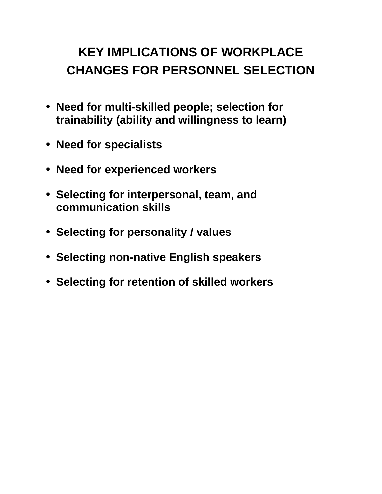## **KEY IMPLICATIONS OF WORKPLACE CHANGES FOR PERSONNEL SELECTION**

- **Need for multi-skilled people; selection for trainability (ability and willingness to learn)**
- **Need for specialists**
- **Need for experienced workers**
- **Selecting for interpersonal, team, and communication skills**
- **Selecting for personality / values**
- **Selecting non-native English speakers**
- **Selecting for retention of skilled workers**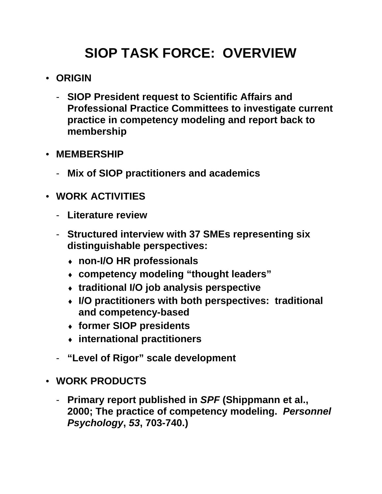## **SIOP TASK FORCE: OVERVIEW**

- **ORIGIN**
	- **SIOP President request to Scientific Affairs and Professional Practice Committees to investigate current practice in competency modeling and report back to membership**
- **MEMBERSHIP**
	- **Mix of SIOP practitioners and academics**
- **WORK ACTIVITIES**
	- **Literature review**
	- **Structured interview with 37 SMEs representing six distinguishable perspectives:**
		- ♦ **non-I/O HR professionals**
		- ♦ **competency modeling "thought leaders"**
		- ♦ **traditional I/O job analysis perspective**
		- ♦ **I/O practitioners with both perspectives: traditional and competency-based**
		- ♦ **former SIOP presidents**
		- ♦ **international practitioners**
	- **"Level of Rigor" scale development**
- **WORK PRODUCTS**
	- **Primary report published in** *SPF* **(Shippmann et al., 2000; The practice of competency modeling.** *Personnel Psychology***,** *53***, 703-740.)**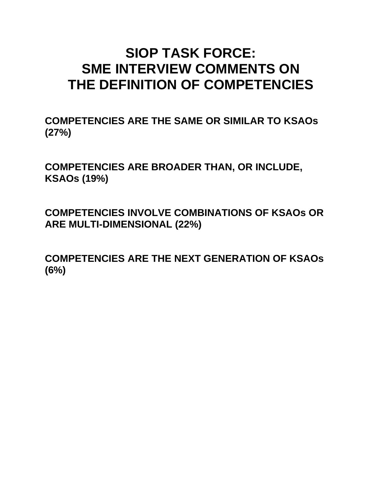## **SIOP TASK FORCE: SME INTERVIEW COMMENTS ON THE DEFINITION OF COMPETENCIES**

**COMPETENCIES ARE THE SAME OR SIMILAR TO KSAOs (27%)**

**COMPETENCIES ARE BROADER THAN, OR INCLUDE, KSAOs (19%)**

**COMPETENCIES INVOLVE COMBINATIONS OF KSAOs OR ARE MULTI-DIMENSIONAL (22%)**

**COMPETENCIES ARE THE NEXT GENERATION OF KSAOs (6%)**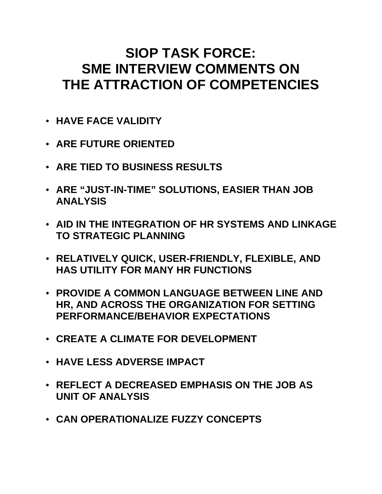## **SIOP TASK FORCE: SME INTERVIEW COMMENTS ON THE ATTRACTION OF COMPETENCIES**

- **HAVE FACE VALIDITY**
- **ARE FUTURE ORIENTED**
- **ARE TIED TO BUSINESS RESULTS**
- **ARE "JUST-IN-TIME" SOLUTIONS, EASIER THAN JOB ANALYSIS**
- **AID IN THE INTEGRATION OF HR SYSTEMS AND LINKAGE TO STRATEGIC PLANNING**
- **RELATIVELY QUICK, USER-FRIENDLY, FLEXIBLE, AND HAS UTILITY FOR MANY HR FUNCTIONS**
- **PROVIDE A COMMON LANGUAGE BETWEEN LINE AND HR, AND ACROSS THE ORGANIZATION FOR SETTING PERFORMANCE/BEHAVIOR EXPECTATIONS**
- **CREATE A CLIMATE FOR DEVELOPMENT**
- **HAVE LESS ADVERSE IMPACT**
- **REFLECT A DECREASED EMPHASIS ON THE JOB AS UNIT OF ANALYSIS**
- **CAN OPERATIONALIZE FUZZY CONCEPTS**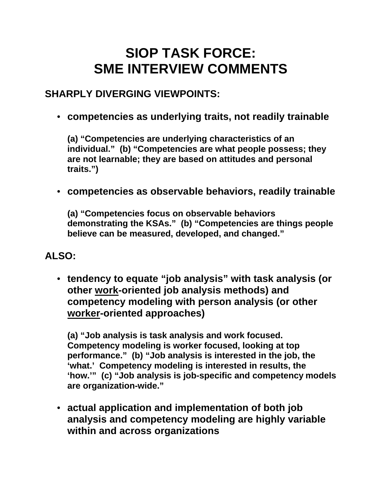## **SIOP TASK FORCE: SME INTERVIEW COMMENTS**

#### **SHARPLY DIVERGING VIEWPOINTS:**

• **competencies as underlying traits, not readily trainable**

**(a) "Competencies are underlying characteristics of an individual." (b) "Competencies are what people possess; they are not learnable; they are based on attitudes and personal traits.")**

• **competencies as observable behaviors, readily trainable**

**(a) "Competencies focus on observable behaviors demonstrating the KSAs." (b) "Competencies are things people believe can be measured, developed, and changed."**

#### **ALSO:**

• **tendency to equate "job analysis" with task analysis (or other work-oriented job analysis methods) and competency modeling with person analysis (or other worker-oriented approaches)**

**(a) "Job analysis is task analysis and work focused. Competency modeling is worker focused, looking at top performance." (b) "Job analysis is interested in the job, the 'what.' Competency modeling is interested in results, the 'how.'" (c) "Job analysis is job-specific and competency models are organization-wide."**

• **actual application and implementation of both job analysis and competency modeling are highly variable within and across organizations**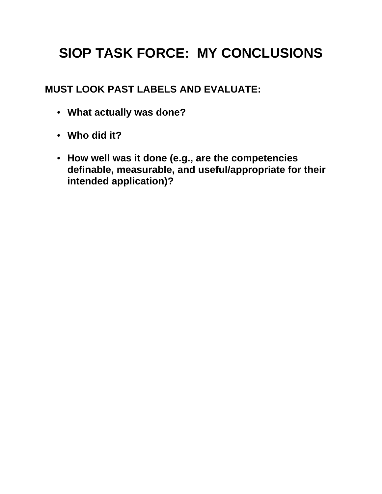## **SIOP TASK FORCE: MY CONCLUSIONS**

**MUST LOOK PAST LABELS AND EVALUATE:**

- **What actually was done?**
- **Who did it?**
- **How well was it done (e.g., are the competencies definable, measurable, and useful/appropriate for their intended application)?**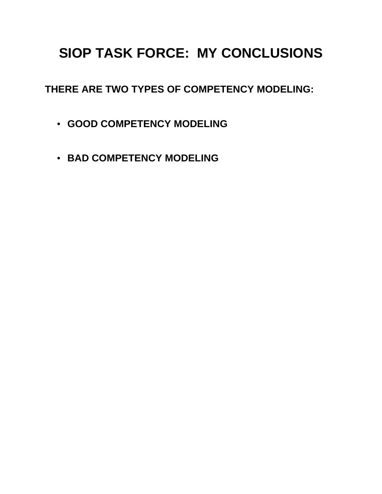## **SIOP TASK FORCE: MY CONCLUSIONS**

**THERE ARE TWO TYPES OF COMPETENCY MODELING:**

- **GOOD COMPETENCY MODELING**
- **BAD COMPETENCY MODELING**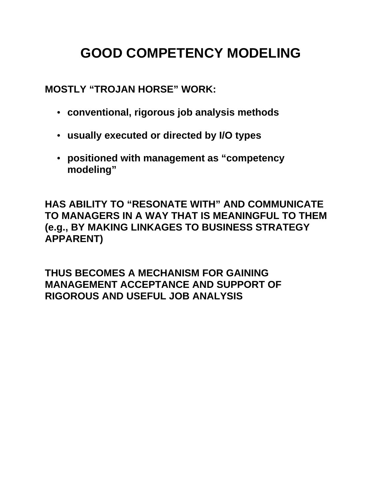## **GOOD COMPETENCY MODELING**

**MOSTLY "TROJAN HORSE" WORK:**

- **conventional, rigorous job analysis methods**
- **usually executed or directed by I/O types**
- **positioned with management as "competency modeling"**

**HAS ABILITY TO "RESONATE WITH" AND COMMUNICATE TO MANAGERS IN A WAY THAT IS MEANINGFUL TO THEM (e.g., BY MAKING LINKAGES TO BUSINESS STRATEGY APPARENT)**

**THUS BECOMES A MECHANISM FOR GAINING MANAGEMENT ACCEPTANCE AND SUPPORT OF RIGOROUS AND USEFUL JOB ANALYSIS**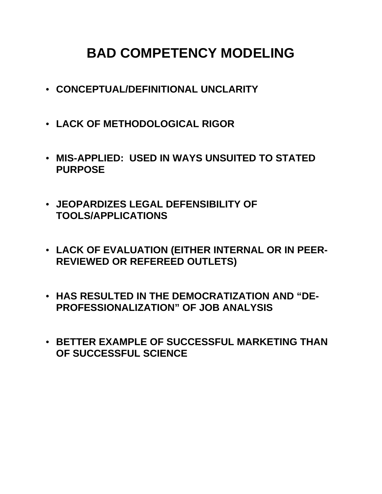## **BAD COMPETENCY MODELING**

- **CONCEPTUAL/DEFINITIONAL UNCLARITY**
- **LACK OF METHODOLOGICAL RIGOR**
- **MIS-APPLIED: USED IN WAYS UNSUITED TO STATED PURPOSE**
- **JEOPARDIZES LEGAL DEFENSIBILITY OF TOOLS/APPLICATIONS**
- **LACK OF EVALUATION (EITHER INTERNAL OR IN PEER-REVIEWED OR REFEREED OUTLETS)**
- **HAS RESULTED IN THE DEMOCRATIZATION AND "DE-PROFESSIONALIZATION" OF JOB ANALYSIS**
- **BETTER EXAMPLE OF SUCCESSFUL MARKETING THAN OF SUCCESSFUL SCIENCE**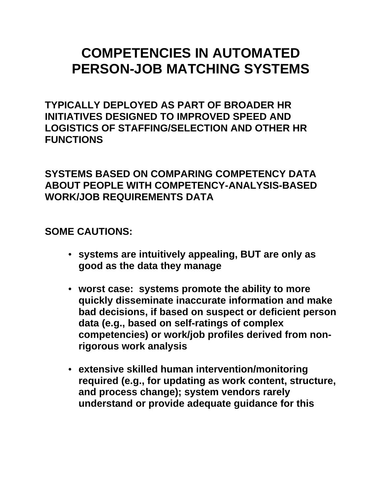## **COMPETENCIES IN AUTOMATED PERSON-JOB MATCHING SYSTEMS**

**TYPICALLY DEPLOYED AS PART OF BROADER HR INITIATIVES DESIGNED TO IMPROVED SPEED AND LOGISTICS OF STAFFING/SELECTION AND OTHER HR FUNCTIONS**

#### **SYSTEMS BASED ON COMPARING COMPETENCY DATA ABOUT PEOPLE WITH COMPETENCY-ANALYSIS-BASED WORK/JOB REQUIREMENTS DATA**

**SOME CAUTIONS:**

- **systems are intuitively appealing, BUT are only as good as the data they manage**
- **worst case: systems promote the ability to more quickly disseminate inaccurate information and make bad decisions, if based on suspect or deficient person data (e.g., based on self-ratings of complex competencies) or work/job profiles derived from nonrigorous work analysis**
- **extensive skilled human intervention/monitoring required (e.g., for updating as work content, structure, and process change); system vendors rarely understand or provide adequate guidance for this**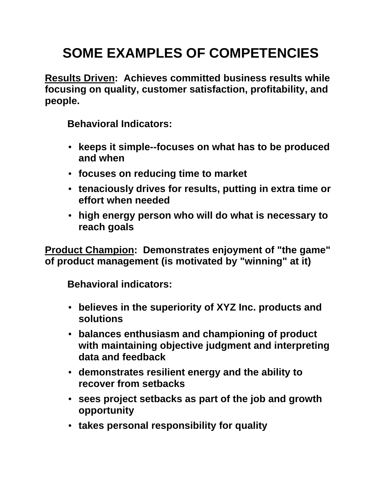## **SOME EXAMPLES OF COMPETENCIES**

**Results Driven: Achieves committed business results while focusing on quality, customer satisfaction, profitability, and people.** 

**Behavioral Indicators:**

- **keeps it simple--focuses on what has to be produced and when**
- **focuses on reducing time to market**
- **tenaciously drives for results, putting in extra time or effort when needed**
- **high energy person who will do what is necessary to reach goals**

**Product Champion: Demonstrates enjoyment of "the game" of product management (is motivated by "winning" at it)**

**Behavioral indicators:**

- **believes in the superiority of XYZ Inc. products and solutions**
- **balances enthusiasm and championing of product with maintaining objective judgment and interpreting data and feedback**
- **demonstrates resilient energy and the ability to recover from setbacks**
- **sees project setbacks as part of the job and growth opportunity**
- **takes personal responsibility for quality**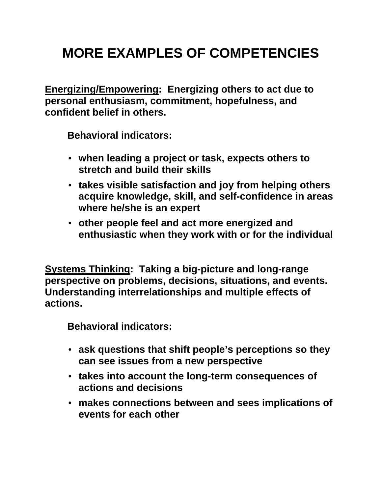## **MORE EXAMPLES OF COMPETENCIES**

**Energizing/Empowering: Energizing others to act due to personal enthusiasm, commitment, hopefulness, and confident belief in others.**

**Behavioral indicators:**

- **when leading a project or task, expects others to stretch and build their skills**
- **takes visible satisfaction and joy from helping others acquire knowledge, skill, and self-confidence in areas where he/she is an expert**
- **other people feel and act more energized and enthusiastic when they work with or for the individual**

**Systems Thinking: Taking a big-picture and long-range perspective on problems, decisions, situations, and events. Understanding interrelationships and multiple effects of actions.**

**Behavioral indicators:**

- **ask questions that shift people's perceptions so they can see issues from a new perspective**
- **takes into account the long-term consequences of actions and decisions**
- **makes connections between and sees implications of events for each other**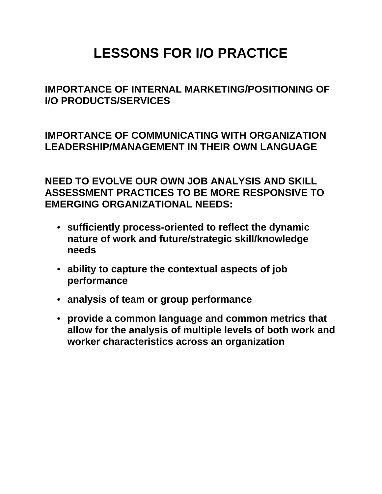## **LESSONS FOR I/O PRACTICE**

#### **IMPORTANCE OF INTERNAL MARKETING/POSITIONING OF I/O PRODUCTS/SERVICES**

**IMPORTANCE OF COMMUNICATING WITH ORGANIZATION LEADERSHIP/MANAGEMENT IN THEIR OWN LANGUAGE**

**NEED TO EVOLVE OUR OWN JOB ANALYSIS AND SKILL ASSESSMENT PRACTICES TO BE MORE RESPONSIVE TO EMERGING ORGANIZATIONAL NEEDS:**

- **sufficiently process-oriented to reflect the dynamic nature of work and future/strategic skill/knowledge needs**
- **ability to capture the contextual aspects of job performance**
- **analysis of team or group performance**
- **provide a common language and common metrics that allow for the analysis of multiple levels of both work and worker characteristics across an organization**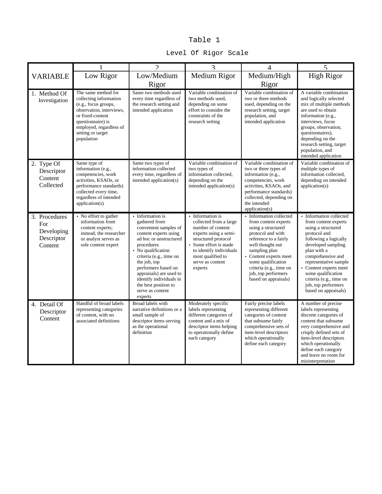#### Table 1

|                                                             | 1                                                                                                                                                                                                        | $\mathfrak{D}$                                                                                                                                                                                                                                                                                                                   | 3                                                                                                                                                                                                                       | $\overline{4}$                                                                                                                                                                                                                                                                   | 5                                                                                                                                                                                                                                                                                                                         |
|-------------------------------------------------------------|----------------------------------------------------------------------------------------------------------------------------------------------------------------------------------------------------------|----------------------------------------------------------------------------------------------------------------------------------------------------------------------------------------------------------------------------------------------------------------------------------------------------------------------------------|-------------------------------------------------------------------------------------------------------------------------------------------------------------------------------------------------------------------------|----------------------------------------------------------------------------------------------------------------------------------------------------------------------------------------------------------------------------------------------------------------------------------|---------------------------------------------------------------------------------------------------------------------------------------------------------------------------------------------------------------------------------------------------------------------------------------------------------------------------|
| <b>VARIABLE</b>                                             | Low Rigor                                                                                                                                                                                                | Low/Medium<br>Rigor                                                                                                                                                                                                                                                                                                              | Medium Rigor                                                                                                                                                                                                            | Medium/High<br>Rigor                                                                                                                                                                                                                                                             | <b>High Rigor</b>                                                                                                                                                                                                                                                                                                         |
| 1. Method Of<br>Investigation                               | The same method for<br>collecting information<br>(e.g., focus groups,<br>observation, interviews,<br>or fixed-content<br>questionnaire) is<br>employed, regardless of<br>setting or target<br>population | Same two methods used<br>every time regardless of<br>the research setting and<br>intended application                                                                                                                                                                                                                            | Variable combination of<br>two methods used,<br>depending on some<br>effort to consider the<br>constraints of the<br>research setting                                                                                   | Variable combination of<br>two or three methods<br>used, depending on the<br>research setting, target<br>population, and<br>intended application                                                                                                                                 | A variable combination<br>and logically selected<br>mix of multiple methods<br>are used to obtain<br>information (e.g.,<br>interviews, focus<br>groups, observation,<br>questionnaires).<br>depending on the<br>research setting, target<br>population, and<br>intended application                                       |
| 2. Type Of<br>Descriptor<br>Content<br>Collected            | Same type of<br>information (e.g.,<br>competencies, work<br>activities, KSAOs, or<br>performance standards)<br>collected every time,<br>regardless of intended<br>application(s)                         | Same two types of<br>information collected<br>every time, regardless of<br>intended application(s)                                                                                                                                                                                                                               | Variable combination of<br>two types of<br>information collected,<br>depending on the<br>intended application(s)                                                                                                        | Variable combination of<br>two or three types of<br>information (e.g.,<br>competencies, work<br>activities, KSAOs, and<br>performance standards)<br>collected, depending on<br>the intended<br>application(s)                                                                    | Variable combination of<br>multiple types of<br>information collected,<br>depending on intended<br>application(s)                                                                                                                                                                                                         |
| 3. Procedures<br>For<br>Developing<br>Descriptor<br>Content | • No effort to gather<br>information from<br>content experts;<br>instead, the researcher<br>or analyst serves as<br>sole content expert                                                                  | • Information is<br>gathered from<br>convenient samples of<br>content experts using<br>ad hoc or unstructured<br>procedures<br>• No qualification<br>criteria (e.g., time on<br>the job, top<br>performers based on<br>appraisals) are used to<br>identify individuals in<br>the best position to<br>serve as content<br>experts | • Information is<br>collected from a large<br>number of content<br>experts using a semi-<br>structured protocol<br>• Some effort is made<br>to identify individuals<br>most qualified to<br>serve as content<br>experts | • Information collected<br>from content experts<br>using a structured<br>protocol and with<br>reference to a fairly<br>well thought out<br>sampling plan<br>Content experts meet<br>some qualification<br>criteria (e.g., time on<br>job, top performers<br>based on appraisals) | • Information collected<br>from content experts<br>using a structured<br>protocol and<br>following a logically<br>developed sampling<br>plan with a<br>comprehensive and<br>representative sample<br>Content experts meet<br>some qualification<br>criteria (e.g., time on<br>job, top performers<br>based on appraisals) |
| 4. Detail Of<br>Descriptor<br>Content                       | Handful of broad labels<br>representing categories<br>of content, with no<br>associated definitions                                                                                                      | Broad labels with<br>narrative definitions or a<br>small sample of<br>descriptor items serving<br>as the operational<br>definition                                                                                                                                                                                               | Moderately specific<br>labels representing<br>different categories of<br>content and a mix of<br>descriptor items helping<br>to operationally define<br>each category                                                   | Fairly precise labels<br>representing different<br>categories of content<br>that subsume fairly<br>comprehensive sets of<br>item-level descriptors<br>which operationally<br>define each category                                                                                | A number of precise<br>labels representing<br>discrete categories of<br>content that subsume<br>very comprehensive and<br>crisply defined sets of<br>item-level descriptors<br>which operationally<br>define each category<br>and leave no room for<br>misinterpretation                                                  |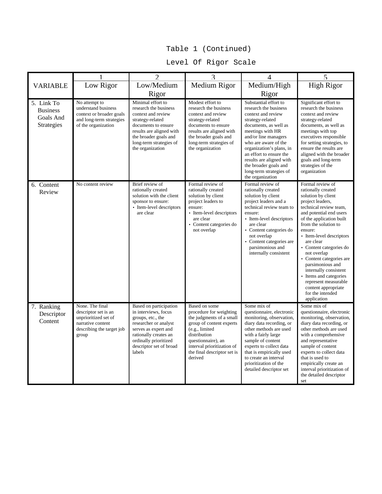#### Table 1 (Continued)

#### Level Of Rigor Scale

|                                                          | 1                                                                                                                          | $\mathfrak{D}$                                                                                                                                                                                                  | 3                                                                                                                                                                                                                                | $\overline{4}$                                                                                                                                                                                                                                                                                                                                   | 5                                                                                                                                                                                                                                                                                                                                                                                                                                                                            |
|----------------------------------------------------------|----------------------------------------------------------------------------------------------------------------------------|-----------------------------------------------------------------------------------------------------------------------------------------------------------------------------------------------------------------|----------------------------------------------------------------------------------------------------------------------------------------------------------------------------------------------------------------------------------|--------------------------------------------------------------------------------------------------------------------------------------------------------------------------------------------------------------------------------------------------------------------------------------------------------------------------------------------------|------------------------------------------------------------------------------------------------------------------------------------------------------------------------------------------------------------------------------------------------------------------------------------------------------------------------------------------------------------------------------------------------------------------------------------------------------------------------------|
| <b>VARIABLE</b>                                          | Low Rigor                                                                                                                  | Low/Medium                                                                                                                                                                                                      | Medium Rigor                                                                                                                                                                                                                     | Medium/High                                                                                                                                                                                                                                                                                                                                      | <b>High Rigor</b>                                                                                                                                                                                                                                                                                                                                                                                                                                                            |
|                                                          |                                                                                                                            | Rigor                                                                                                                                                                                                           |                                                                                                                                                                                                                                  | Rigor                                                                                                                                                                                                                                                                                                                                            |                                                                                                                                                                                                                                                                                                                                                                                                                                                                              |
| 5. Link To<br><b>Business</b><br>Goals And<br>Strategies | No attempt to<br>understand business<br>context or broader goals<br>and long-term strategies<br>of the organization        | Minimal effort to<br>research the business<br>context and review<br>strategy-related<br>documents to ensure<br>results are aligned with<br>the broader goals and<br>long-term strategies of<br>the organization | Modest effort to<br>research the business<br>context and review<br>strategy-related<br>documents to ensure<br>results are aligned with<br>the broader goals and<br>long-term strategies of<br>the organization                   | Substantial effort to<br>research the business<br>context and review<br>strategy-related<br>documents, as well as<br>meetings with HR<br>and/or line managers<br>who are aware of the<br>organization's plans, in<br>an effort to ensure the<br>results are aligned with<br>the broader goals and<br>long-term strategies of<br>the organization | Significant effort to<br>research the business<br>context and review<br>strategy-related<br>documents, as well as<br>meetings with top<br>executives responsible<br>for setting strategies, to<br>ensure the results are<br>aligned with the broader<br>goals and long-term<br>strategies of the<br>organization                                                                                                                                                             |
| 6. Content<br>Review                                     | No content review                                                                                                          | Brief review of<br>rationally created<br>solution with the client<br>sponsor to ensure:<br>• Item-level descriptors<br>are clear                                                                                | Formal review of<br>rationally created<br>solution by client<br>project leaders to<br>ensure:<br>• Item-level descriptors<br>are clear<br>• Content categories do<br>not overlap                                                 | Formal review of<br>rationally created<br>solution by client<br>project leaders and a<br>technical review team to<br>ensure:<br>• Item-level descriptors<br>are clear<br>• Content categories do<br>not overlap<br>• Content categories are<br>parsimonious and<br>internally consistent                                                         | Formal review of<br>rationally created<br>solution by client<br>project leaders,<br>technical review team,<br>and potential end users<br>of the application built<br>from the solution to<br>ensure:<br>• Item-level descriptors<br>are clear<br>• Content categories do<br>not overlap<br>• Content categories are<br>parsimonious and<br>internally consistent<br>• Items and categories<br>represent measurable<br>content appropriate<br>for the intended<br>application |
| 7. Ranking<br>Descriptor<br>Content                      | None. The final<br>descriptor set is an<br>unprioritized set of<br>narrative content<br>describing the target job<br>group | Based on participation<br>in interviews, focus<br>groups, etc., the<br>researcher or analyst<br>serves as expert and<br>rationally creates an<br>ordinally prioritized<br>descriptor set of broad<br>labels     | Based on some<br>procedure for weighting<br>the judgments of a small<br>group of content experts<br>(e.g., limited<br>distribution<br>questionnaire), an<br>interval prioritization of<br>the final descriptor set is<br>derived | Some mix of<br>questionnaire, electronic<br>monitoring, observation,<br>diary data recording, or<br>other methods are used<br>with a fairly large<br>sample of content<br>experts to collect data<br>that is empirically used<br>to create an interval<br>prioritization of the<br>detailed descriptor set                                       | Some mix of<br>questionnaire, electronic<br>monitoring, observation,<br>diary data recording, or<br>other methods are used<br>with a comprehensive<br>and representative<br>sample of content<br>experts to collect data<br>that is used to<br>empirically create an<br>interval prioritization of<br>the detailed descriptor<br>set                                                                                                                                         |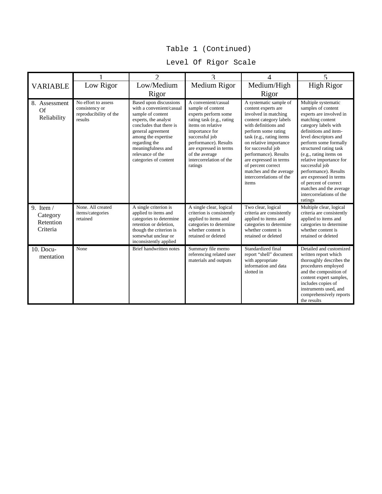#### Table 1 (Continued)

#### Level Of Rigor Scale

|                                                  |                                                                            | $\mathcal{D}$                                                                                                                                                                                                                                                     | 3                                                                                                                                                                                                                                                                 | 4                                                                                                                                                                                                                                                                                                                                                                    | 5                                                                                                                                                                                                                                                                                                                                                                                                                                          |
|--------------------------------------------------|----------------------------------------------------------------------------|-------------------------------------------------------------------------------------------------------------------------------------------------------------------------------------------------------------------------------------------------------------------|-------------------------------------------------------------------------------------------------------------------------------------------------------------------------------------------------------------------------------------------------------------------|----------------------------------------------------------------------------------------------------------------------------------------------------------------------------------------------------------------------------------------------------------------------------------------------------------------------------------------------------------------------|--------------------------------------------------------------------------------------------------------------------------------------------------------------------------------------------------------------------------------------------------------------------------------------------------------------------------------------------------------------------------------------------------------------------------------------------|
| <b>VARIABLE</b>                                  | Low Rigor                                                                  | Low/Medium                                                                                                                                                                                                                                                        | Medium Rigor                                                                                                                                                                                                                                                      | Medium/High                                                                                                                                                                                                                                                                                                                                                          | <b>High Rigor</b>                                                                                                                                                                                                                                                                                                                                                                                                                          |
|                                                  |                                                                            | Rigor                                                                                                                                                                                                                                                             |                                                                                                                                                                                                                                                                   | Rigor                                                                                                                                                                                                                                                                                                                                                                |                                                                                                                                                                                                                                                                                                                                                                                                                                            |
| 8. Assessment<br>Of<br>Reliability               | No effort to assess<br>consistency or<br>reproducibility of the<br>results | <b>Based upon discussions</b><br>with a convenient/casual<br>sample of content<br>experts, the analyst<br>concludes that there is<br>general agreement<br>among the expertise<br>regarding the<br>meaningfulness and<br>relevance of the<br>categories of content | A convenient/casual<br>sample of content<br>experts perform some<br>rating task (e.g., rating<br>items on relative<br>importance for<br>successful job<br>performance). Results<br>are expressed in terms<br>of the average<br>intercorrelation of the<br>ratings | A systematic sample of<br>content experts are<br>involved in matching<br>content category labels<br>with definitions and<br>perform some rating<br>task (e.g., rating items<br>on relative importance<br>for successful job<br>performance). Results<br>are expressed in terms<br>of percent correct<br>matches and the average<br>intercorrelations of the<br>items | Multiple systematic<br>samples of content<br>experts are involved in<br>matching content<br>category labels with<br>definitions and item-<br>level descriptors and<br>perform some formally<br>structured rating task<br>(e.g., rating items on<br>relative importance for<br>successful job<br>performance). Results<br>are expressed in terms<br>of percent of correct<br>matches and the average<br>intercorrelations of the<br>ratings |
| 9. Item $/$<br>Category<br>Retention<br>Criteria | None. All created<br>items/categories<br>retained                          | A single criterion is<br>applied to items and<br>categories to determine<br>retention or deletion,<br>though the criterion is<br>somewhat unclear or<br>inconsistently applied                                                                                    | A single clear, logical<br>criterion is consistently<br>applied to items and<br>categories to determine<br>whether content is<br>retained or deleted                                                                                                              | Two clear, logical<br>criteria are consistently<br>applied to items and<br>categories to determine<br>whether content is<br>retained or deleted                                                                                                                                                                                                                      | Multiple clear, logical<br>criteria are consistently<br>applied to items and<br>categories to determine<br>whether content is<br>retained or deleted                                                                                                                                                                                                                                                                                       |
| $10.$ Docu-<br>mentation                         | None                                                                       | Brief handwritten notes                                                                                                                                                                                                                                           | Summary file memo<br>referencing related user<br>materials and outputs                                                                                                                                                                                            | Standardized final<br>report "shell" document<br>with appropriate<br>information and data<br>slotted in                                                                                                                                                                                                                                                              | Detailed and customized<br>written report which<br>thoroughly describes the<br>procedures employed<br>and the composition of<br>content expert samples,<br>includes copies of<br>instruments used, and<br>comprehensively reports<br>the results                                                                                                                                                                                           |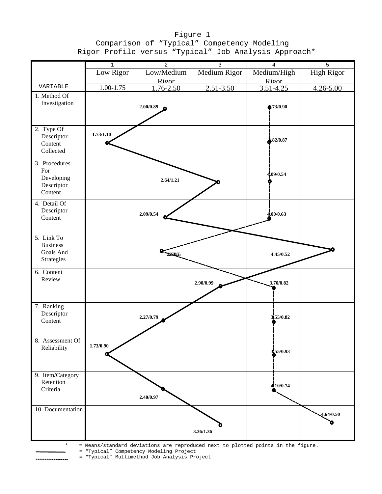#### Figure 1 Comparison of "Typical" Competency Modeling Rigor Profile versus "Typical" Job Analysis Approach\*

|                   | $1\,$         | $\overline{2}$ | 3             | $\overline{4}$ | 5                 |
|-------------------|---------------|----------------|---------------|----------------|-------------------|
|                   | Low Rigor     | Low/Medium     | Medium Rigor  | Medium/High    | <b>High Rigor</b> |
|                   |               | Rigor          |               | Rigor          |                   |
| VARIABLE          | $1.00 - 1.75$ | $1.76 - 2.50$  | $2.51 - 3.50$ | $3.51 - 4.25$  | $4.26 - 5.00$     |
| 1. Method Of      |               |                |               |                |                   |
| Investigation     |               |                |               |                |                   |
|                   |               | 2.00/0.89      |               | Q.73/0.90      |                   |
|                   |               |                |               |                |                   |
|                   |               |                |               |                |                   |
| 2. Type Of        |               |                |               |                |                   |
| Descriptor        | 1.73/1.10     |                |               | 32/0.87        |                   |
| Content           |               |                |               |                |                   |
| Collected         |               |                |               |                |                   |
| 3. Procedures     |               |                |               |                |                   |
| For               |               |                |               |                |                   |
| Developing        |               | 2.64/1.21      |               | 4.09/0.54      |                   |
| Descriptor        |               |                |               |                |                   |
| Content           |               |                |               |                |                   |
| 4. Detail Of      |               |                |               |                |                   |
| Descriptor        |               |                |               |                |                   |
| Content           |               | 2.09/0.54      |               | 4.00/0.63      |                   |
|                   |               |                |               |                |                   |
|                   |               |                |               |                |                   |
| 5. Link To        |               |                |               |                |                   |
| <b>Business</b>   |               |                |               |                |                   |
| Goals And         |               | 227065         |               | 4.45/0.52      |                   |
| Strategies        |               |                |               |                |                   |
| 6. Content        |               |                |               |                |                   |
| Review            |               |                |               |                |                   |
|                   |               |                | 2.90/0.99     | 3.70/0.82      |                   |
|                   |               |                |               |                |                   |
|                   |               |                |               |                |                   |
| 7. Ranking        |               |                |               |                |                   |
| Descriptor        |               | 2.27/0.79      |               | 355/0.82       |                   |
| Content           |               |                |               |                |                   |
|                   |               |                |               |                |                   |
| 8. Assessment Of  |               |                |               |                |                   |
| Reliability       | 1.73/0.90     |                |               | 355/0.93       |                   |
|                   |               |                |               |                |                   |
|                   |               |                |               |                |                   |
| 9. Item/Category  |               |                |               |                |                   |
| Retention         |               |                |               |                |                   |
| Criteria          |               |                |               | 410/0.74       |                   |
|                   |               | 2.40/0.97      |               |                |                   |
|                   |               |                |               |                |                   |
| 10. Documentation |               |                |               |                | 4.64/0.50         |
|                   |               |                |               |                |                   |
|                   |               |                |               |                |                   |
|                   |               |                | 3.36/1.36     |                |                   |
|                   |               |                |               |                |                   |

\* = Means/standard deviations are reproduced next to plotted points in the figure.

= "Typical" Competency Modeling Project

= "Typical" Multimethod Job Analysis Project